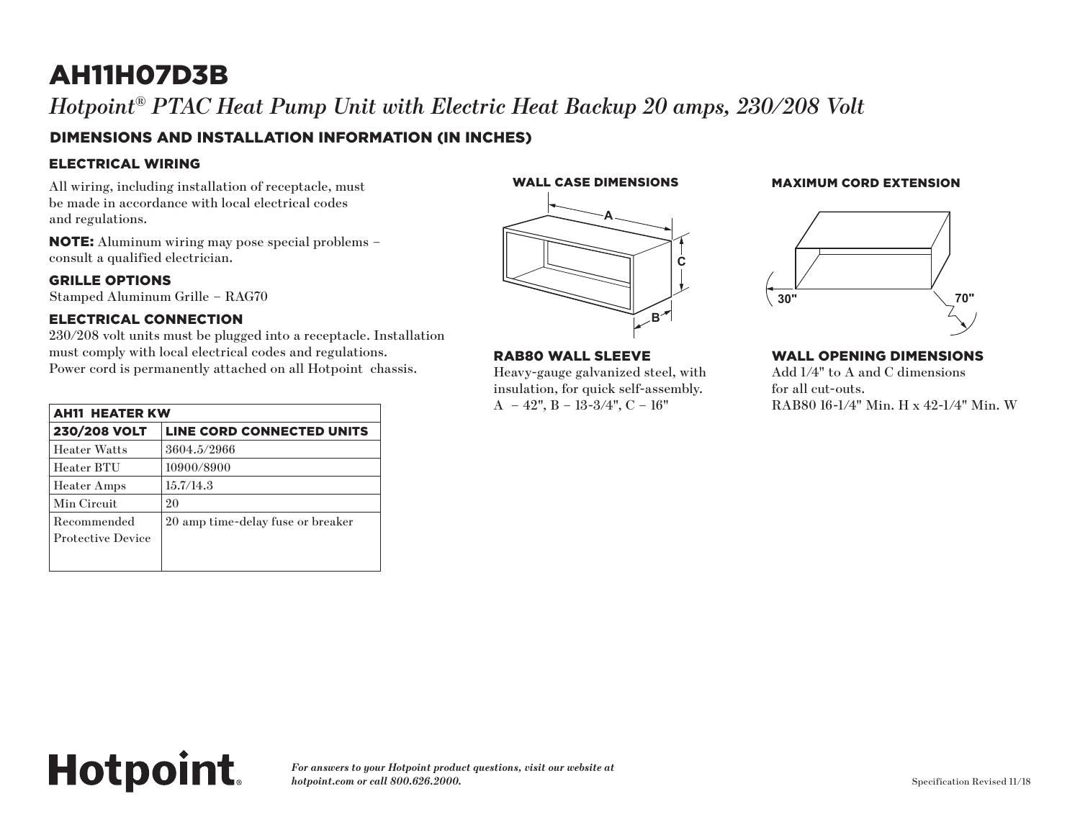## AH11H07D3B

*Hotpoint® PTAC Heat Pump Unit with Electric Heat Backup 20 amps, 230/208 Volt*

### DIMENSIONS AND INSTALLATION INFORMATION (IN INCHES)

#### ELECTRICAL WIRING

All wiring, including installation of receptacle, must be made in accordance with local electrical codes and regulations.

NOTE: Aluminum wiring may pose special problems – consult a qualified electrician.

#### GRILLE OPTIONS

Stamped Aluminum Grille – RAG70

#### ELECTRICAL CONNECTION

**Hotpoint.** 

230/208 volt units must be plugged into a receptacle. Installation must comply with local electrical codes and regulations. Power cord is permanently attached on all Hotpoint chassis.

| <b>AH11 HEATER KW</b>                   |                                   |
|-----------------------------------------|-----------------------------------|
| <b>230/208 VOLT</b>                     | LINE CORD CONNECTED UNITS         |
| <b>Heater Watts</b>                     | 3604.5/2966                       |
| Heater BTU                              | 10900/8900                        |
| <b>Heater Amps</b>                      | 15.7/14.3                         |
| Min Circuit                             | 20                                |
| Recommended<br><b>Protective Device</b> | 20 amp time-delay fuse or breaker |
|                                         |                                   |
|                                         |                                   |



#### RAB80 WALL SLEEVE

Heavy-gauge galvanized steel, with **RAB80 Wall Sleeve RAB80 Wall Sleeve EXECUTE:** FOR THE FOR THE INSURANCE STEEL, SNAP TO THE INSURANCE STEEL, SNAP TO THE INSURANCE IS IN THE ORDER.  $A - 42$ ",  $B - 13-3/4$ ",  $C - 16$ " uick self-assembly. **Wall Opening Dimensions**

#### WALL CASE DIMENSIONS MAXIMUM CORD EXTENSION (in inches) (in inches) Wall Case Dimensions Maximum Cord Extensions Maximum Cord Extensions Maximum Cord Extensions Maximum Cord Extensions



#### WALL OPENING DIMENSIONS

 $i$ zed steel, with  $\qquad \qquad \text{Add } 1/4" \text{ to } A \text{ and } C \text{ dimensions}$ for all cut-outs. RAB80 16-1/4" Min. H x 42-1/4" Min. W